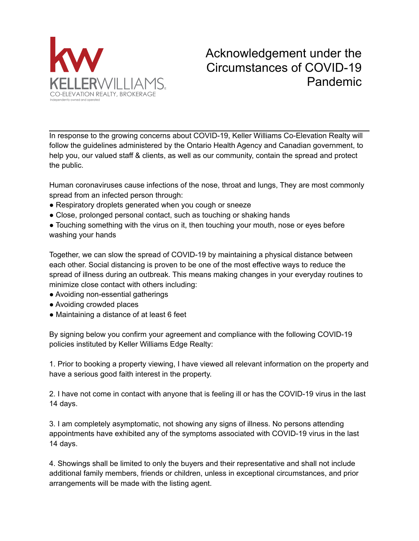

## Acknowledgement under the Circumstances of COVID-19 Pandemic

In response to the growing concerns about COVID-19, Keller Williams Co-Elevation Realty will follow the guidelines administered by the Ontario Health Agency and Canadian government, to help you, our valued staff & clients, as well as our community, contain the spread and protect the public.

Human coronaviruses cause infections of the nose, throat and lungs, They are most commonly spread from an infected person through:

- Respiratory droplets generated when you cough or sneeze
- Close, prolonged personal contact, such as touching or shaking hands
- Touching something with the virus on it, then touching your mouth, nose or eyes before washing your hands

Together, we can slow the spread of COVID-19 by maintaining a physical distance between each other. Social distancing is proven to be one of the most effective ways to reduce the spread of illness during an outbreak. This means making changes in your everyday routines to minimize close contact with others including:

- Avoiding non-essential gatherings
- Avoiding crowded places
- Maintaining a distance of at least 6 feet

By signing below you confirm your agreement and compliance with the following COVID-19 policies instituted by Keller Williams Edge Realty:

1. Prior to booking a property viewing, I have viewed all relevant information on the property and have a serious good faith interest in the property.

2. I have not come in contact with anyone that is feeling ill or has the COVID-19 virus in the last 14 days.

3. I am completely asymptomatic, not showing any signs of illness. No persons attending appointments have exhibited any of the symptoms associated with COVID-19 virus in the last 14 days.

4. Showings shall be limited to only the buyers and their representative and shall not include additional family members, friends or children, unless in exceptional circumstances, and prior arrangements will be made with the listing agent.